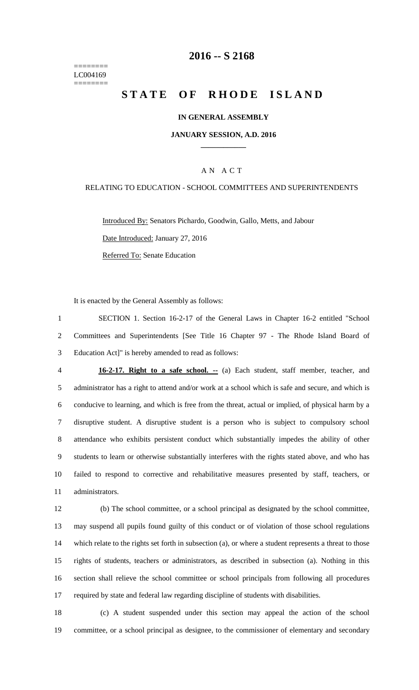======== LC004169 ========

## **-- S 2168**

# **STATE OF RHODE ISLAND**

#### **IN GENERAL ASSEMBLY**

#### **JANUARY SESSION, A.D. 2016 \_\_\_\_\_\_\_\_\_\_\_\_**

### A N A C T

#### RELATING TO EDUCATION - SCHOOL COMMITTEES AND SUPERINTENDENTS

Introduced By: Senators Pichardo, Goodwin, Gallo, Metts, and Jabour Date Introduced: January 27, 2016 Referred To: Senate Education

It is enacted by the General Assembly as follows:

 SECTION 1. Section 16-2-17 of the General Laws in Chapter 16-2 entitled "School Committees and Superintendents [See Title 16 Chapter 97 - The Rhode Island Board of Education Act]" is hereby amended to read as follows:

 **16-2-17. Right to a safe school. --** (a) Each student, staff member, teacher, and administrator has a right to attend and/or work at a school which is safe and secure, and which is conducive to learning, and which is free from the threat, actual or implied, of physical harm by a disruptive student. A disruptive student is a person who is subject to compulsory school attendance who exhibits persistent conduct which substantially impedes the ability of other students to learn or otherwise substantially interferes with the rights stated above, and who has failed to respond to corrective and rehabilitative measures presented by staff, teachers, or administrators.

 (b) The school committee, or a school principal as designated by the school committee, may suspend all pupils found guilty of this conduct or of violation of those school regulations which relate to the rights set forth in subsection (a), or where a student represents a threat to those rights of students, teachers or administrators, as described in subsection (a). Nothing in this section shall relieve the school committee or school principals from following all procedures required by state and federal law regarding discipline of students with disabilities.

 (c) A student suspended under this section may appeal the action of the school committee, or a school principal as designee, to the commissioner of elementary and secondary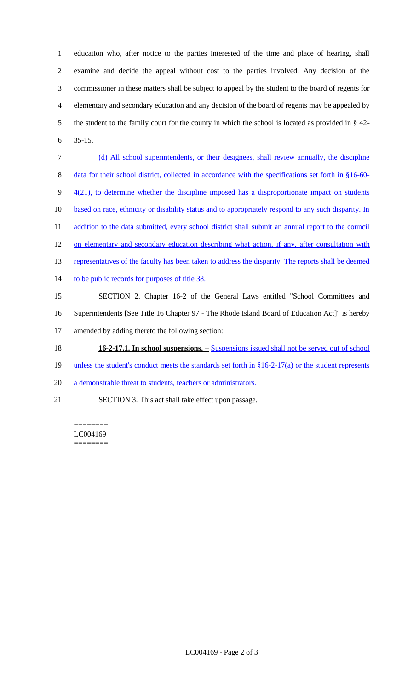education who, after notice to the parties interested of the time and place of hearing, shall examine and decide the appeal without cost to the parties involved. Any decision of the commissioner in these matters shall be subject to appeal by the student to the board of regents for elementary and secondary education and any decision of the board of regents may be appealed by the student to the family court for the county in which the school is located as provided in § 42- 6 35-15.

- 7 (d) All school superintendents, or their designees, shall review annually, the discipline 8 data for their school district, collected in accordance with the specifications set forth in §16-60- $9 - \frac{4(21)}{10}$ , to determine whether the discipline imposed has a disproportionate impact on students 10 based on race, ethnicity or disability status and to appropriately respond to any such disparity. In 11 addition to the data submitted, every school district shall submit an annual report to the council 12 on elementary and secondary education describing what action, if any, after consultation with 13 representatives of the faculty has been taken to address the disparity. The reports shall be deemed 14 to be public records for purposes of title 38. 15 SECTION 2. Chapter 16-2 of the General Laws entitled "School Committees and 16 Superintendents [See Title 16 Chapter 97 - The Rhode Island Board of Education Act]" is hereby 17 amended by adding thereto the following section: 18 **16-2-17.1. In school suspensions. –** Suspensions issued shall not be served out of school
- 19 unless the student's conduct meets the standards set forth in §16-2-17(a) or the student represents
- 20 a demonstrable threat to students, teachers or administrators.
- 21 SECTION 3. This act shall take effect upon passage.

======== LC004169 ========